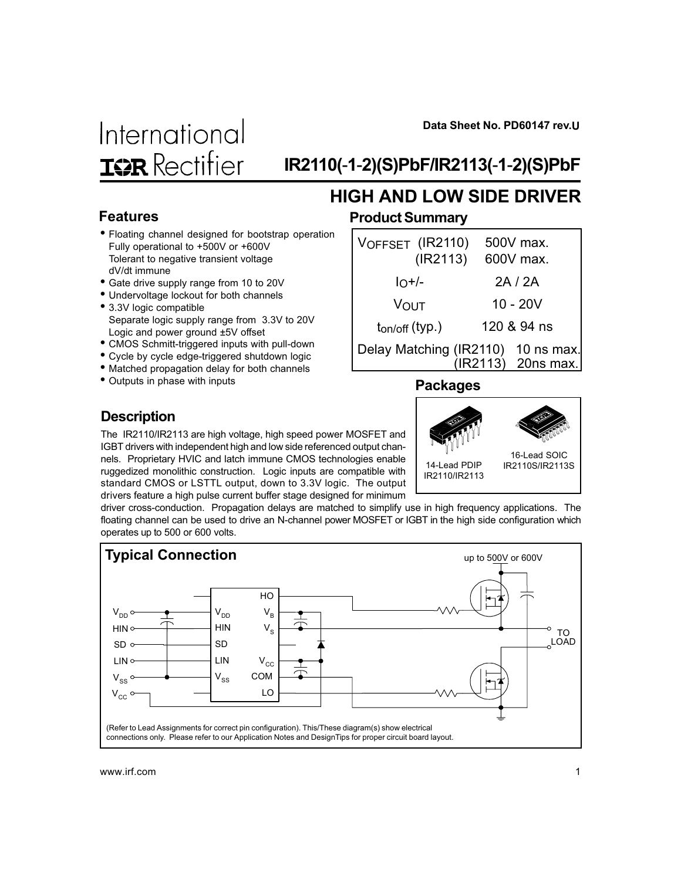Data Sheet No. PD60147 rev.U



# IR2110(-1-2)(S)PbF/IR2113(-1-2)(S)PbF

HIGH AND LOW SIDE DRIVER

#### Features

- Floating channel designed for bootstrap operation Fully operational to +500V or +600V Tolerant to negative transient voltage dV/dt immune
- Gate drive supply range from 10 to 20V
- Undervoltage lockout for both channels
- 3.3V logic compatible Separate logic supply range from 3.3V to 20V Logic and power ground ±5V offset
- CMOS Schmitt-triggered inputs with pull-down
- Cycle by cycle edge-triggered shutdown logic
- Matched propagation delay for both channels
- Outputs in phase with inputs

#### Product Summary

| 2A/2A<br>$10^{+/}$                                            |  |
|---------------------------------------------------------------|--|
| $10 - 20V$<br><b>VOUT</b>                                     |  |
| 120 & 94 ns<br>$t_{on/off}$ (typ.)                            |  |
| Delay Matching (IR2110)<br>$10$ ns max.<br>(IR2113) 20ns max. |  |

#### Packages

14-Lead PDIP IR2110/IR2113

16-Lead SOIC IR2110S/IR2113S

#### **Description**

The IR2110/IR2113 are high voltage, high speed power MOSFET and IGBT drivers with independent high and low side referenced output channels. Proprietary HVIC and latch immune CMOS technologies enable ruggedized monolithic construction. Logic inputs are compatible with standard CMOS or LSTTL output, down to 3.3V logic. The output drivers feature a high pulse current buffer stage designed for minimum

driver cross-conduction. Propagation delays are matched to simplify use in high frequency applications. The floating channel can be used to drive an N-channel power MOSFET or IGBT in the high side configuration which operates up to 500 or 600 volts.

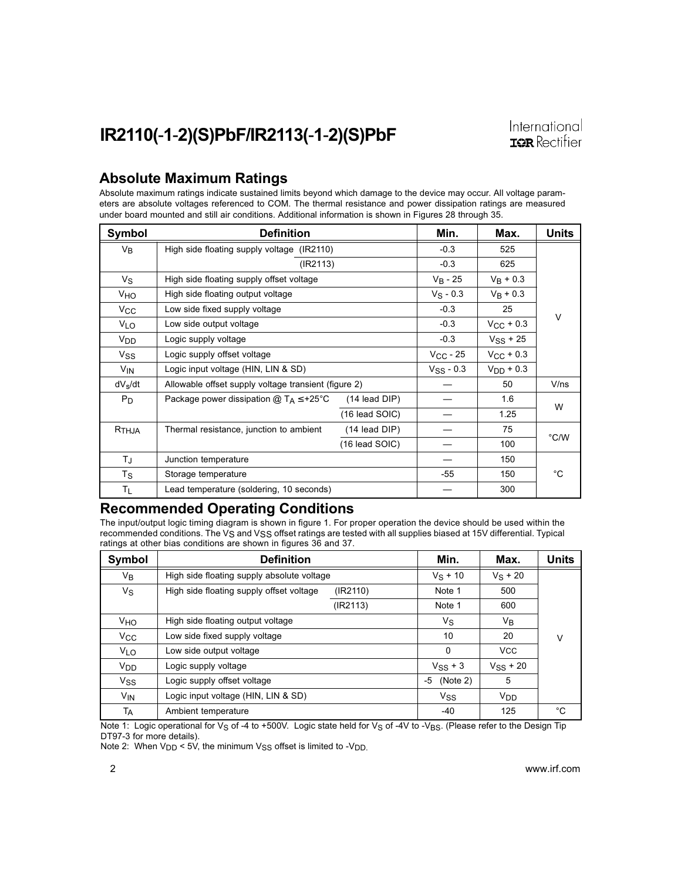#### Absolute Maximum Ratings

Absolute maximum ratings indicate sustained limits beyond which damage to the device may occur. All voltage parameters are absolute voltages referenced to COM. The thermal resistance and power dissipation ratings are measured under board mounted and still air conditions. Additional information is shown in Figures 28 through 35.

| Symbol              | <b>Definition</b>                                                      | Min.                                                 | Max.                   | Units              |      |
|---------------------|------------------------------------------------------------------------|------------------------------------------------------|------------------------|--------------------|------|
| $V_{B}$             | High side floating supply voltage (IR2110)                             |                                                      | $-0.3$                 | 525                |      |
|                     | (IR2113)                                                               | $-0.3$                                               | 625                    |                    |      |
| Vs                  | High side floating supply offset voltage                               |                                                      | $V_B - 25$             | $V_B + 0.3$        |      |
| V <sub>HO</sub>     | High side floating output voltage                                      |                                                      | $V_S - 0.3$            | $V_B + 0.3$        |      |
| $V_{\rm CC}$        | Low side fixed supply voltage                                          |                                                      | $-0.3$                 | 25                 |      |
| VLO                 | Low side output voltage                                                |                                                      | $-0.3$                 | $V_{\rm CC}$ + 0.3 | V    |
| V <sub>DD</sub>     | Logic supply voltage                                                   | $-0.3$                                               | $V$ <sub>SS</sub> + 25 |                    |      |
| Vss                 | Logic supply offset voltage                                            | $V_{\rm CC}$ - 25                                    | $V_{\rm CC}$ + 0.3     |                    |      |
| V <sub>IN</sub>     | Logic input voltage (HIN, LIN & SD)                                    |                                                      |                        |                    |      |
| dV <sub>s</sub> /dt |                                                                        | Allowable offset supply voltage transient (figure 2) |                        | 50                 | V/ns |
| $P_D$               | Package power dissipation @ $T_A \leq +25^{\circ}C$<br>$(14$ lead DIP) |                                                      |                        | 1.6                |      |
|                     |                                                                        | $(16$ lead SOIC)                                     |                        | 1.25               | W    |
| $R$ THJA            | Thermal resistance, junction to ambient                                | (14 lead DIP)                                        |                        | 75                 |      |
|                     |                                                                        | $(16$ lead SOIC)                                     |                        | 100                | °C/W |
| TJ.                 | Junction temperature                                                   |                                                      |                        | 150                |      |
| Ts                  | Storage temperature                                                    |                                                      | $-55$                  | 150                | °C.  |
| ΤL                  | Lead temperature (soldering, 10 seconds)                               |                                                      | 300                    |                    |      |

#### Recommended Operating Conditions

The input/output logic timing diagram is shown in figure 1. For proper operation the device should be used within the recommended conditions. The  $V_S$  and  $V_{SS}$  offset ratings are tested with all supplies biased at 15V differential. Typical ratings at other bias conditions are shown in figures 36 and 37.

| Symbol                | <b>Definition</b>                          |          | Min.           | Max.          | Units |
|-----------------------|--------------------------------------------|----------|----------------|---------------|-------|
| V <sub>B</sub>        | High side floating supply absolute voltage |          | $V_S + 10$     | $V_S + 20$    |       |
| Vs                    | High side floating supply offset voltage   | (IR2110) | Note 1         | 500           |       |
|                       |                                            | (IR2113) | Note 1         | 600           |       |
| Vно                   | High side floating output voltage          |          | Vs             | Vв            |       |
| $V_{\rm CC}$          | Low side fixed supply voltage              |          | 10             | 20            | v     |
| <b>V<sub>LO</sub></b> | Low side output voltage                    |          | 0              | <b>VCC</b>    |       |
| V <sub>DD</sub>       | Logic supply voltage                       |          | $V_{SS}$ + 3   | $V_{SS}$ + 20 |       |
| <b>Vss</b>            | Logic supply offset voltage                |          | (Note 2)<br>-5 | 5             |       |
| $V_{IN}$              | Logic input voltage (HIN, LIN & SD)        |          | Vss            | $V_{DD}$      |       |
| TA                    | Ambient temperature                        |          | $-40$          | 125           | °C    |

Note 1: Logic operational for V<sub>S</sub> of -4 to +500V. Logic state held for V<sub>S</sub> of -4V to -V<sub>BS</sub>. (Please refer to the Design Tip DT97-3 for more details).

Note 2: When  $V_{DD}$  < 5V, the minimum  $V_{SS}$  offset is limited to - $V_{DD}$ .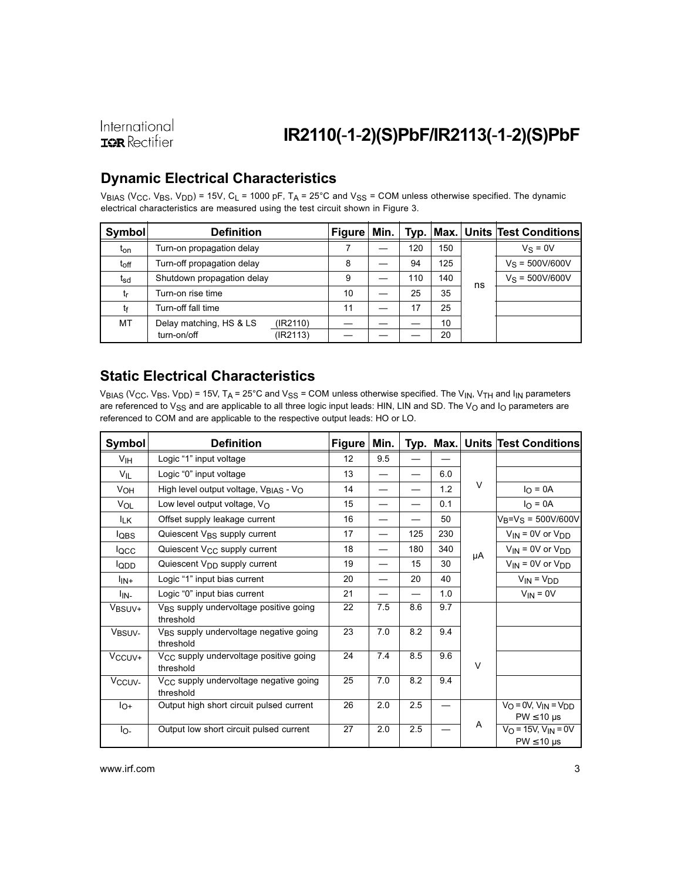### IR2110(-1-2)(S)PbF/IR2113(-1-2)(S)PbF

### Dynamic Electrical Characteristics

VBIAS (V<sub>CC</sub>, V<sub>BS</sub>, V<sub>DD</sub>) = 15V, C<sub>L</sub> = 1000 pF, T<sub>A</sub> = 25°C and V<sub>SS</sub> = COM unless otherwise specified. The dynamic electrical characteristics are measured using the test circuit shown in Figure 3.

| Symbol          | <b>Definition</b>                   | <b>Figure</b> | Min. | Typ. |     |    | Max. Units  Test Conditions |
|-----------------|-------------------------------------|---------------|------|------|-----|----|-----------------------------|
| t <sub>on</sub> | Turn-on propagation delay           |               |      | 120  | 150 |    | $V_S = 0V$                  |
| $t_{\rm off}$   | Turn-off propagation delay          | 8             |      | 94   | 125 |    | $V_S = 500V/600V$           |
| t <sub>sd</sub> | Shutdown propagation delay          | 9             |      | 110  | 140 | ns | $V_S = 500V/600V$           |
| tr              | Turn-on rise time                   | 10            |      | 25   | 35  |    |                             |
| tf              | Turn-off fall time                  | 11            |      | 17   | 25  |    |                             |
| МT              | Delay matching, HS & LS<br>(IR2110) |               |      |      | 10  |    |                             |
|                 | turn-on/off<br>(IR2113)             |               |      |      | 20  |    |                             |

### Static Electrical Characteristics

VBIAS (VCC, VBS, VDD) = 15V, TA = 25°C and V<sub>SS</sub> = COM unless otherwise specified. The V<sub>IN</sub>, V<sub>TH</sub> and I<sub>IN</sub> parameters are referenced to  $V_{SS}$  and are applicable to all three logic input leads: HIN, LIN and SD. The  $V_O$  and  $I_O$  parameters are referenced to COM and are applicable to the respective output leads: HO or LO.

| <b>Symbol</b>      | <b>Definition</b>                                               | <b>Figure</b> | Min. |     | Typ. Max. |    | <b>Units Test Conditions</b>                                       |
|--------------------|-----------------------------------------------------------------|---------------|------|-----|-----------|----|--------------------------------------------------------------------|
| V <sub>IH</sub>    | Logic "1" input voltage                                         | 12            | 9.5  |     |           |    |                                                                    |
| VIL                | Logic "0" input voltage                                         | 13            |      |     | 6.0       |    |                                                                    |
| V <sub>OH</sub>    | High level output voltage, V <sub>BIAS</sub> - V <sub>O</sub>   | 14            |      |     | 1.2       | V  | $I_{\Omega} = 0A$                                                  |
| VOL                | Low level output voltage, V <sub>O</sub>                        | 15            |      |     | 0.1       |    | $I_{\Omega} = 0A$                                                  |
| <sup>I</sup> LK    | Offset supply leakage current                                   | 16            |      |     | 50        |    | $V_B = V_S = 500V/600V$                                            |
| l <sub>QBS</sub>   | Quiescent V <sub>BS</sub> supply current                        | 17            |      | 125 | 230       |    | $V_{IN}$ = 0V or $V_{DD}$                                          |
| locc               | Quiescent V <sub>CC</sub> supply current                        | 18            |      | 180 | 340       | μA | $V_{IN}$ = 0V or $V_{DD}$                                          |
| lopp               | Quiescent V <sub>DD</sub> supply current                        | 19            |      | 15  | 30        |    | $V_{IN}$ = 0V or $V_{DD}$                                          |
| $I_{IN+}$          | Logic "1" input bias current                                    | 20            |      | 20  | 40        |    | $V_{IN} = V_{DD}$                                                  |
| l <sub>IN-</sub>   | Logic "0" input bias current                                    | 21            |      |     | 1.0       |    | $V_{IN} = 0V$                                                      |
| V <sub>BSUV+</sub> | V <sub>BS</sub> supply undervoltage positive going<br>threshold | 22            | 7.5  | 8.6 | 9.7       |    |                                                                    |
| VBSUV-             | V <sub>BS</sub> supply undervoltage negative going<br>threshold | 23            | 7.0  | 8.2 | 9.4       |    |                                                                    |
| $V_{\rm CCUV+}$    | V <sub>CC</sub> supply undervoltage positive going<br>threshold | 24            | 7.4  | 8.5 | 9.6       | V  |                                                                    |
| V <sub>CCUV</sub>  | V <sub>CC</sub> supply undervoltage negative going<br>threshold | 25            | 7.0  | 8.2 | 9.4       |    |                                                                    |
| lo+                | Output high short circuit pulsed current                        | 26            | 2.0  | 2.5 |           |    | $V_O = 0V$ , $V_{IN} = V_{DD}$<br>$PW \leq 10 \text{ }\mu\text{s}$ |
| $I_{\text{O}-}$    | Output low short circuit pulsed current                         | 27            | 2.0  | 2.5 |           | A  | $V_O = 15V$ , $V_{IN} = 0V$<br>$PW \leq 10 \text{ }\mu\text{s}$    |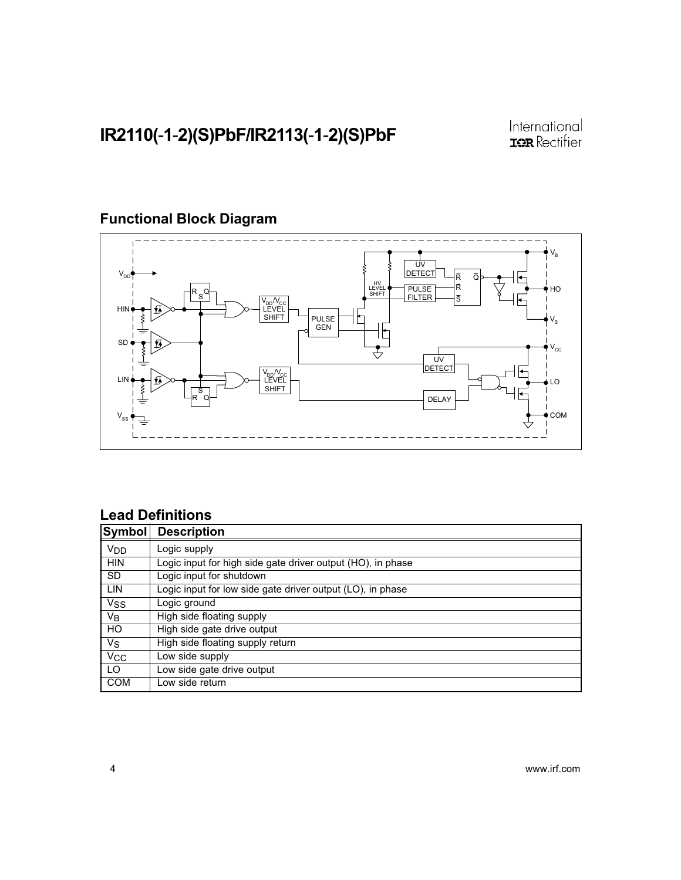

### Functional Block Diagram

#### Lead Definitions

| Symbol                | <b>Description</b>                                          |
|-----------------------|-------------------------------------------------------------|
| V <sub>DD</sub>       | Logic supply                                                |
| <b>HIN</b>            | Logic input for high side gate driver output (HO), in phase |
| <b>SD</b>             | Logic input for shutdown                                    |
| LIN                   | Logic input for low side gate driver output (LO), in phase  |
| <b>V<sub>SS</sub></b> | Logic ground                                                |
| Vв                    | High side floating supply                                   |
| <b>HO</b>             | High side gate drive output                                 |
| Vs                    | High side floating supply return                            |
| <b>V<sub>CC</sub></b> | Low side supply                                             |
| LO                    | Low side gate drive output                                  |
| <b>COM</b>            | ow side return                                              |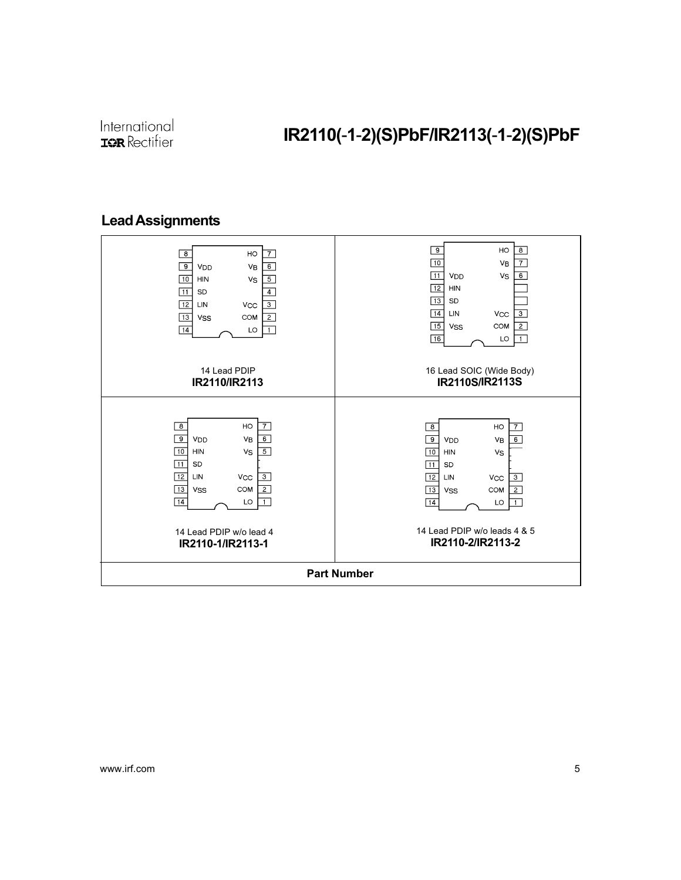### Lead Assignments

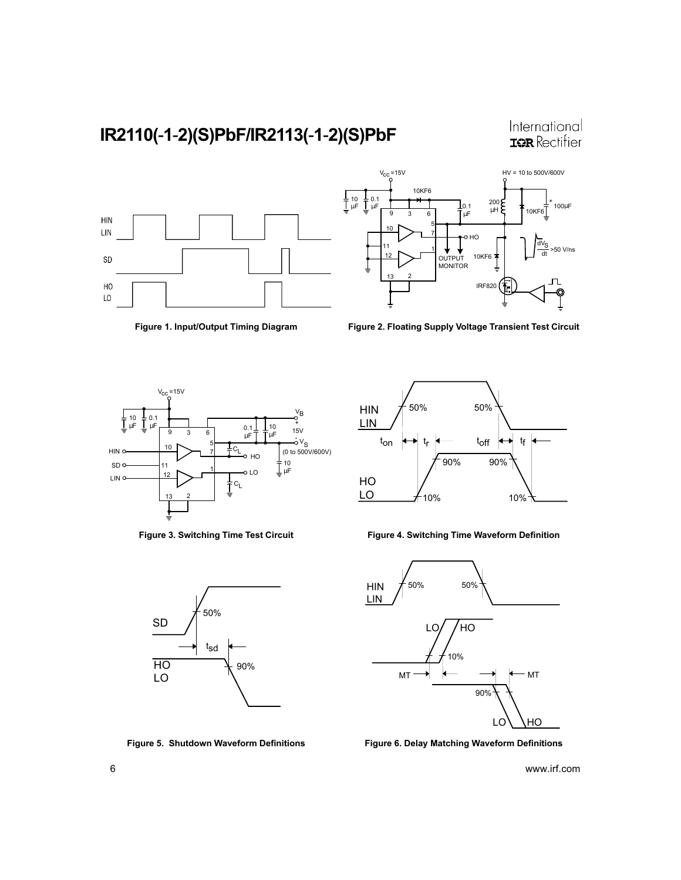International **IQR** Rectifier





Figure 1. Input/Output Timing Diagram Figure 2. Floating Supply Voltage Transient Test Circuit







Figure 3. Switching Time Test Circuit Figure 4. Switching Time Waveform Definition



Figure 5. Shutdown Waveform Definitions Figure 6. Delay Matching Waveform Definitions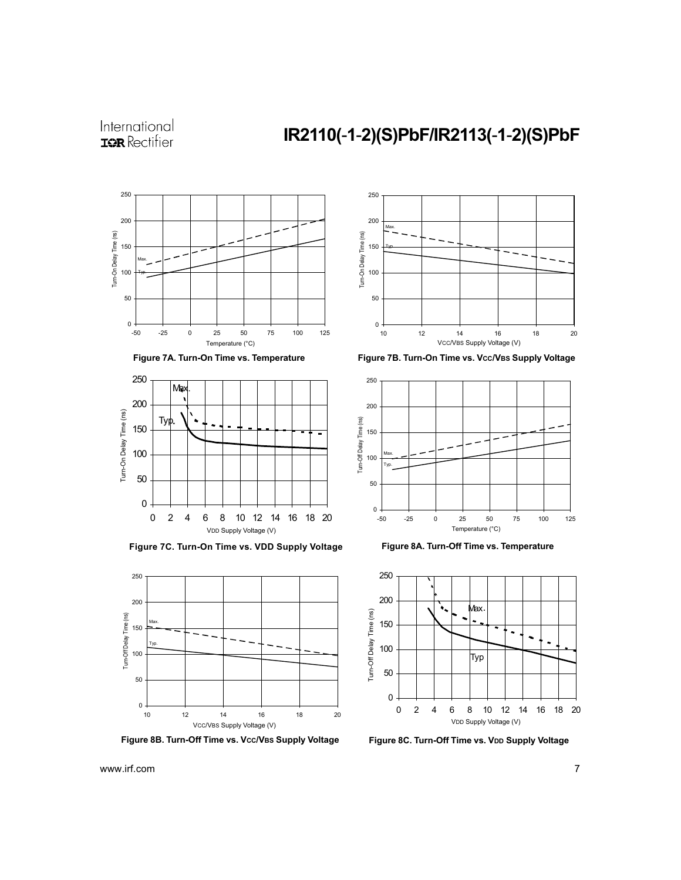### IR2110(-1-2)(S)PbF/IR2113(-1-2)(S)PbF







Figure 7C. Turn-On Time vs. VDD Supply Voltage



Figure 8B. Turn-Off Time vs. Vcc/VBS Supply Voltage



Figure 7A. Turn-On Time vs. Temperature Figure 7B. Turn-On Time vs. Vcc/VBS Supply Voltage







Figure 8C. Turn-Off Time vs. VDD Supply Voltage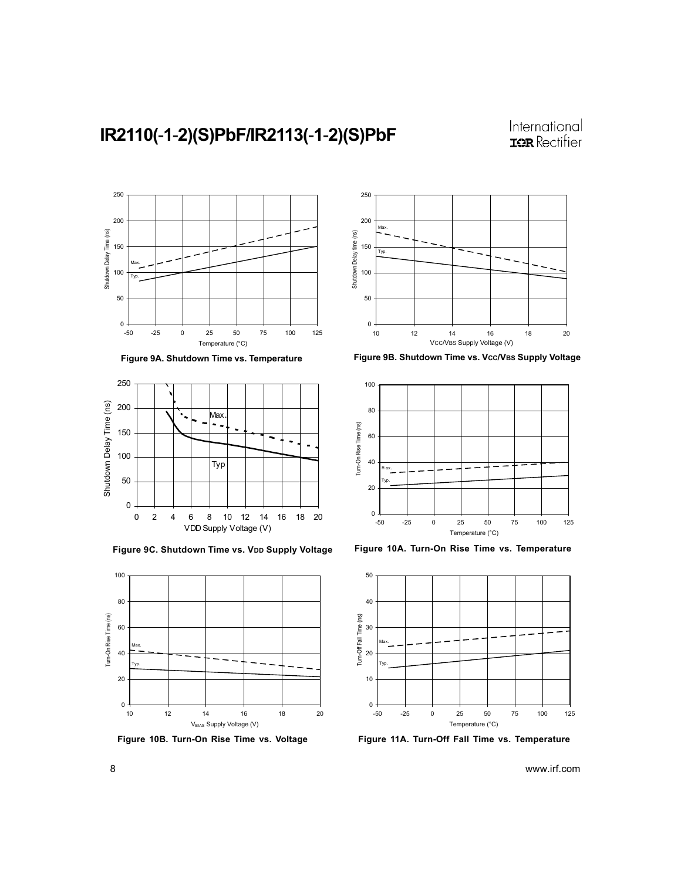





Figure 9C. Shutdown Time vs. VDD Supply Voltage Figure 10A. Turn-On Rise Time vs. Temperature



Figure 10B. Turn-On Rise Time vs. Voltage



Figure 9A. Shutdown Time vs. Temperature Figure 9B. Shutdown Time vs. Vcc/VBS Supply Voltage





Figure 11A. Turn-Off Fall Time vs. Temperature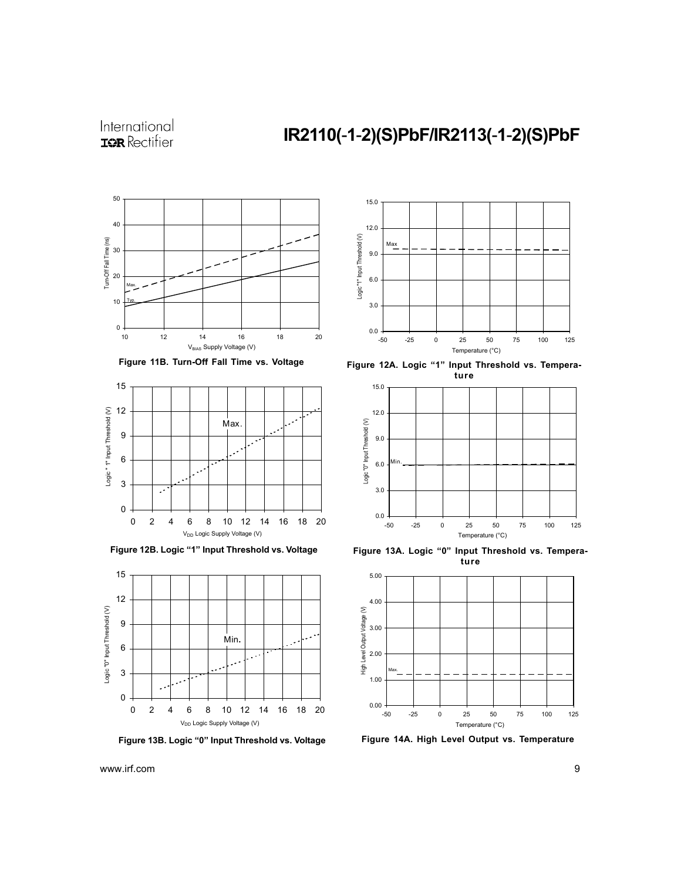









Figure 12A. Logic "1" Input Threshold vs. Temperature



Figure 12B. Logic "1" Input Threshold vs. Voltage Figure 13A. Logic "0" Input Threshold vs. Temperature



Figure 13B. Logic "0" Input Threshold vs. Voltage Figure 14A. High Level Output vs. Temperature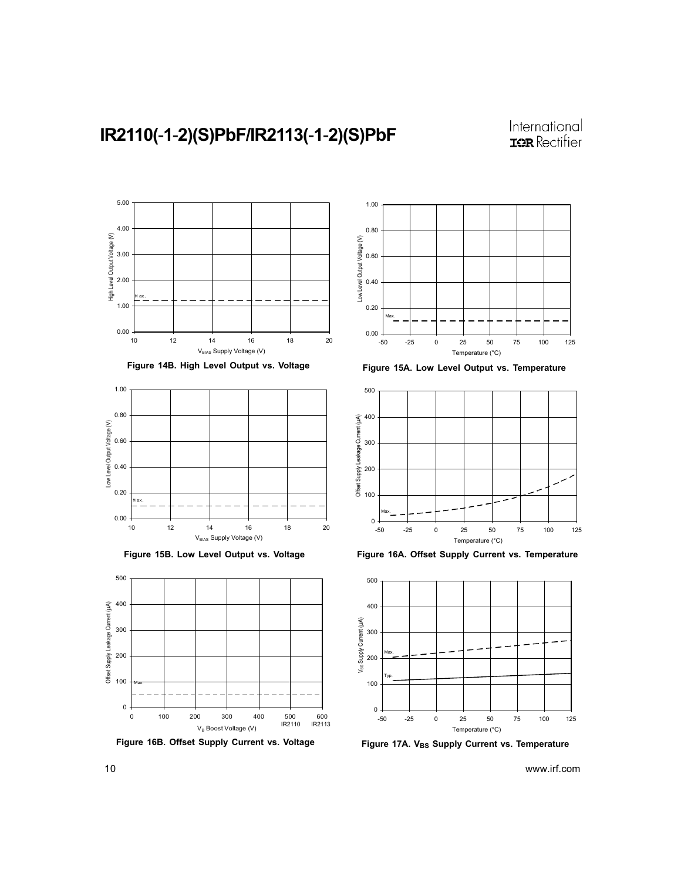



Figure 16B. Offset Supply Current vs. Voltage



Figure 15A. Low Level Output vs. Temperature



Figure 16A. Offset Supply Current vs. Temperature



Figure 17A. VBs Supply Current vs. Temperature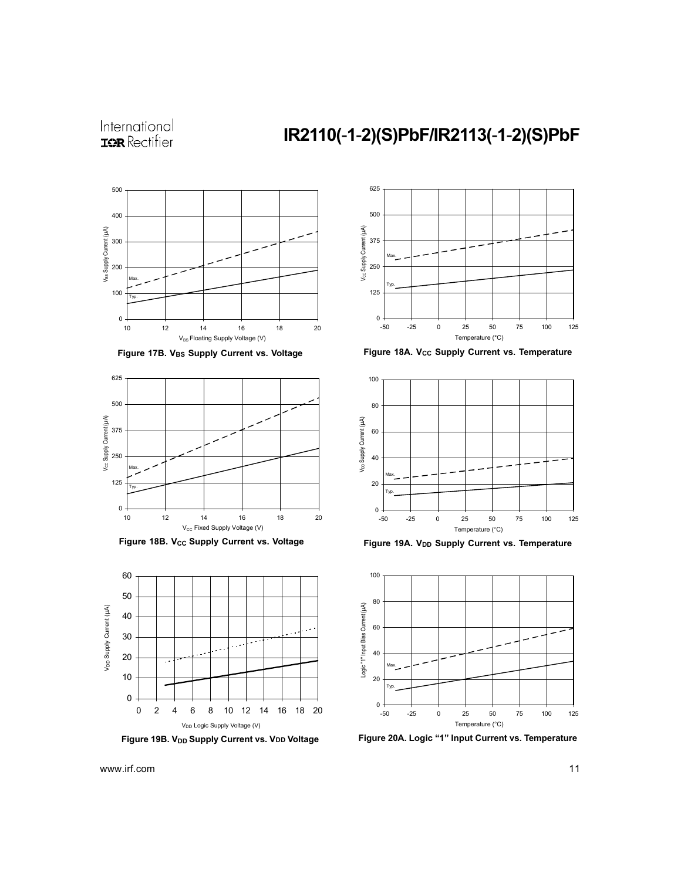### IR2110(-1-2)(S)PbF/IR2113(-1-2)(S)PbF



Figure 17B. VBs Supply Current vs. Voltage



Figure 18B. Vcc Supply Current vs. Voltage





Figure 18A. V<sub>CC</sub> Supply Current vs. Temperature



Figure 19A. V<sub>DD</sub> Supply Current vs. Temperature



Figure 19B. V<sub>DD</sub> Supply Current vs. VDD Voltage Figure 20A. Logic "1" Input Current vs. Temperature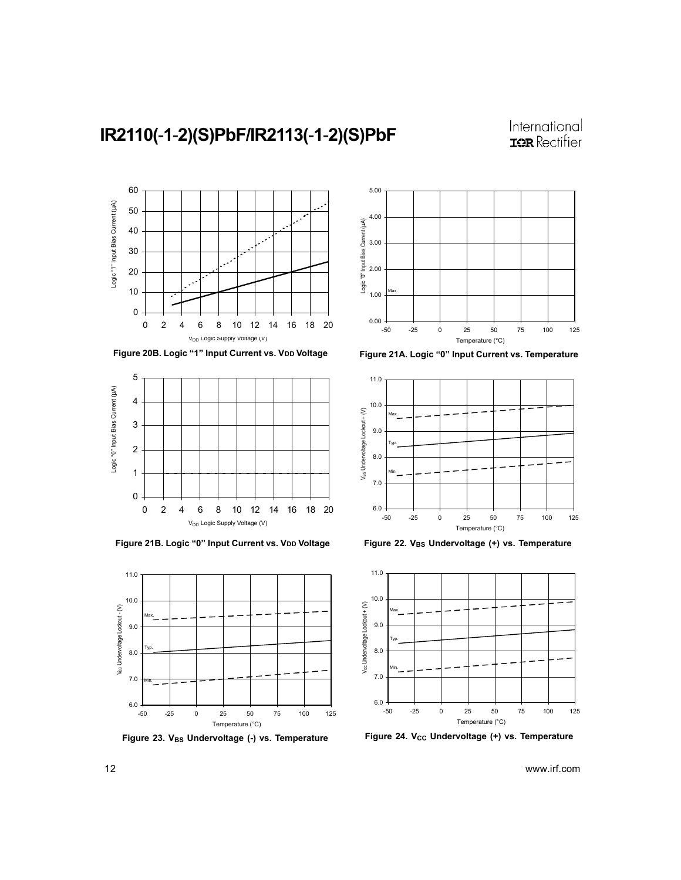





Figure 21B. Logic "0" Input Current vs. VDD Voltage



Figure 23. VBs Undervoltage (-) vs. Temperature







Figure 22. VBs Undervoltage (+) vs. Temperature



Figure 24. V<sub>CC</sub> Undervoltage (+) vs. Temperature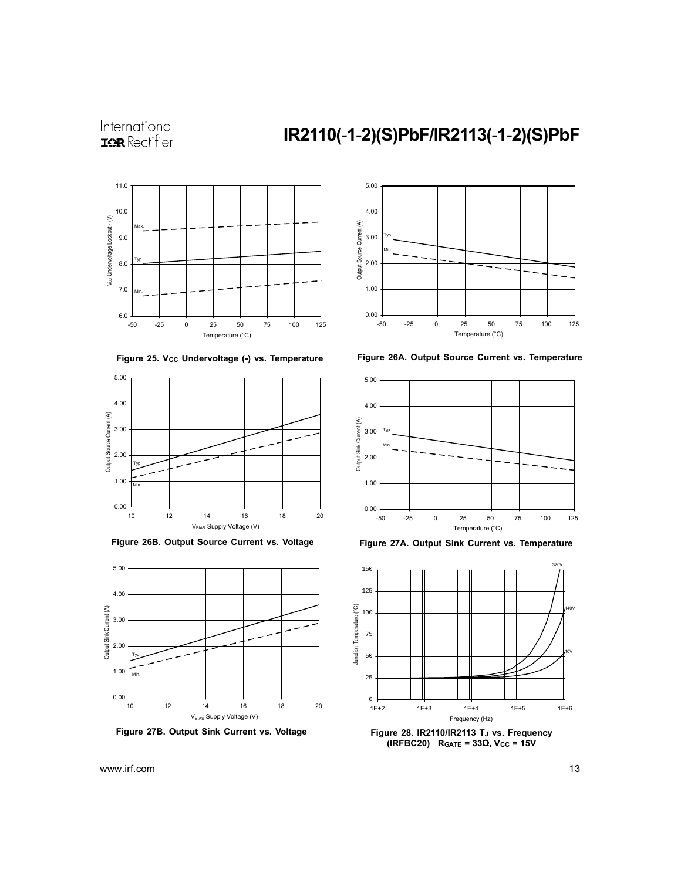### IR2110(-1-2)(S)PbF/IR2113(-1-2)(S)PbF







Figure 26B. Output Source Current vs. Voltage



Figure 27B. Output Sink Current vs. Voltage



Figure 26A. Output Source Current vs. Temperature



Figure 27A. Output Sink Current vs. Temperature



(IRFBC20) R<sub>GATE</sub> = 33Ω, V<sub>CC</sub> = 15V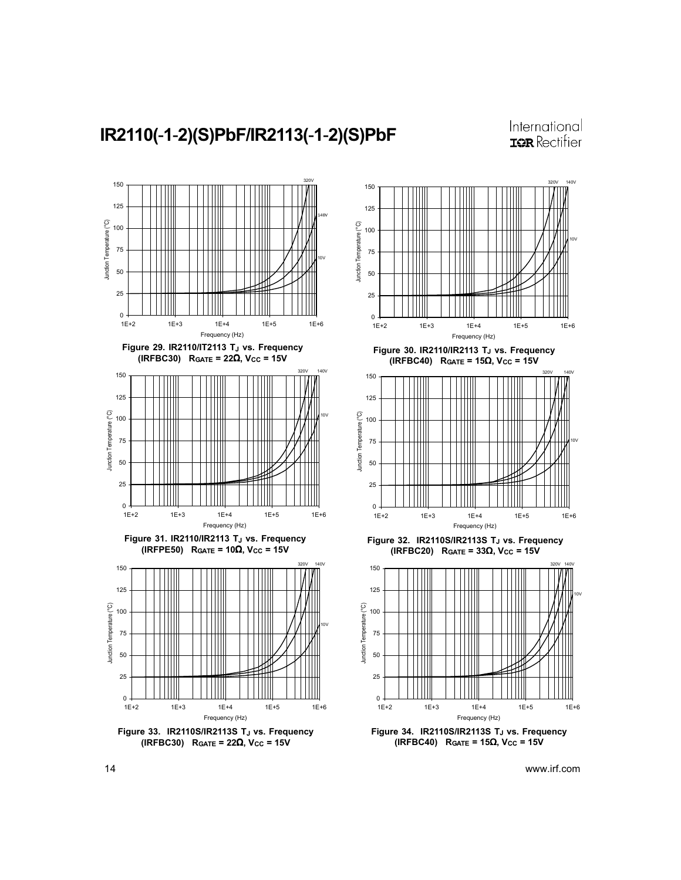$40V$ 



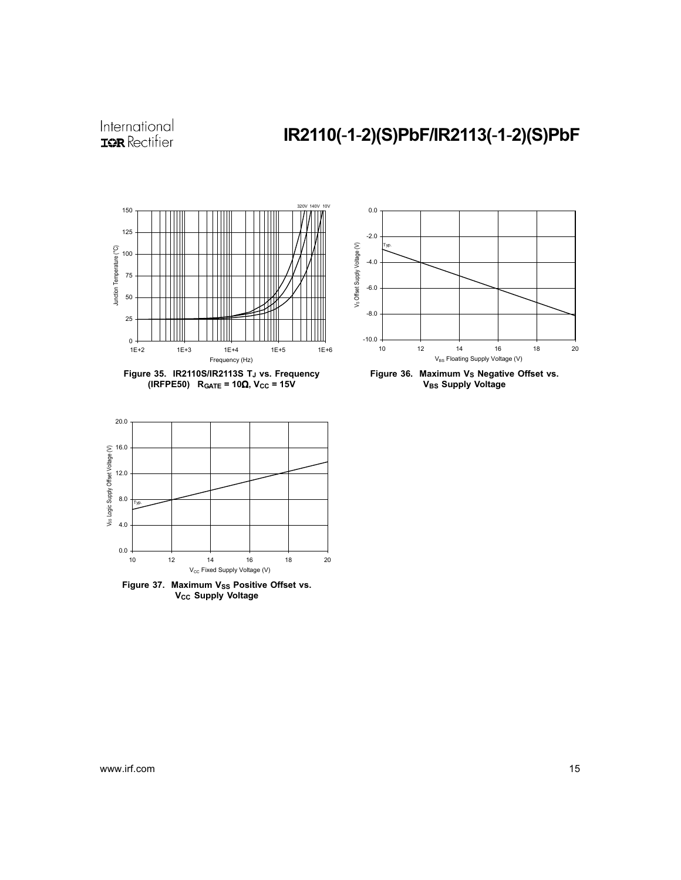# IR2110(-1-2)(S)PbF/IR2113(-1-2)(S)PbF



Figure 35. IR2110S/IR2113S TJ vs. Frequency (IRFPE50) RGATE =  $10\Omega$ , Vcc =  $15V$ 







V<sub>CC</sub> Supply Voltage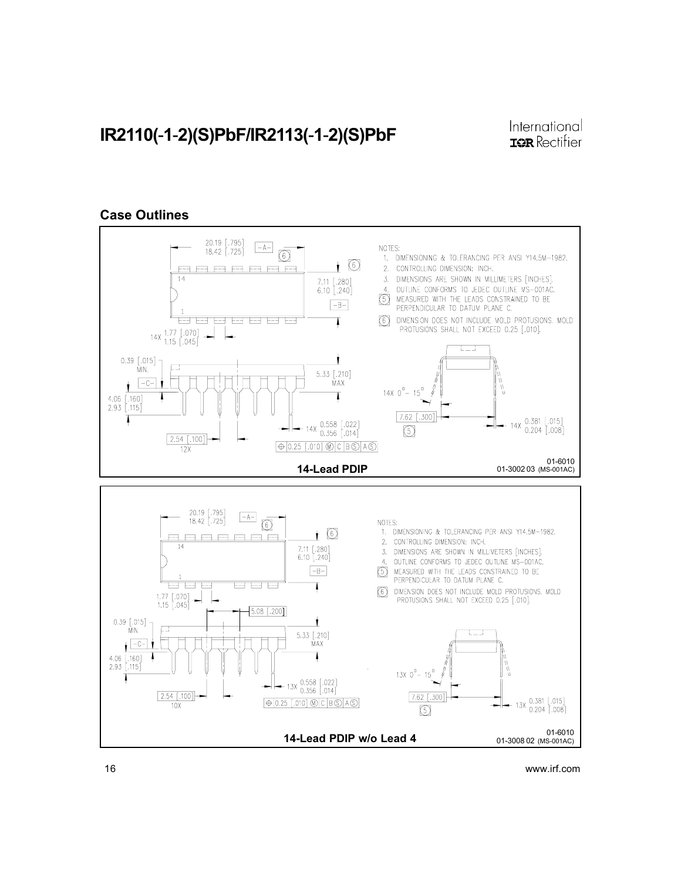#### Case Outlines

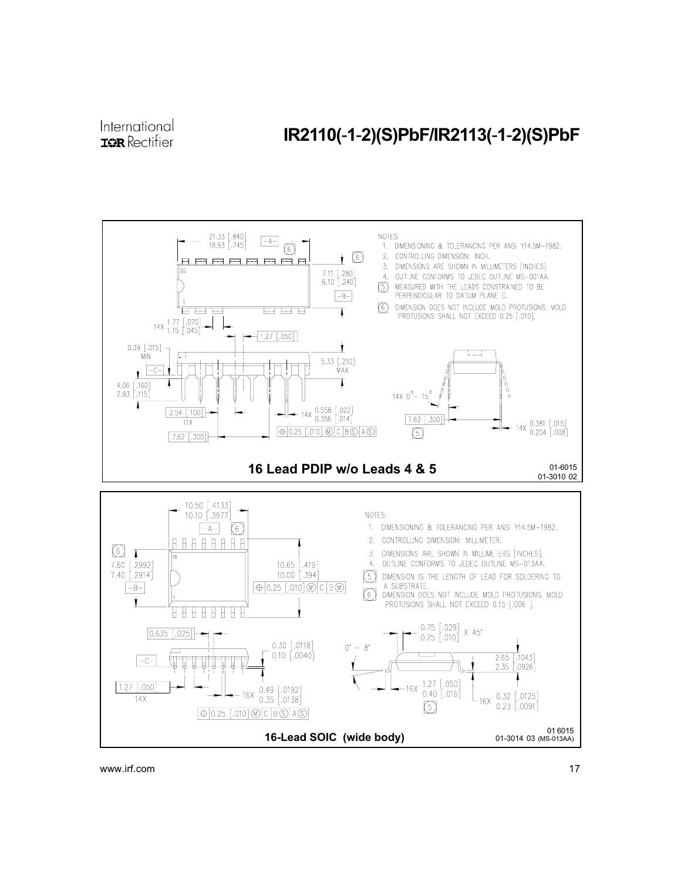